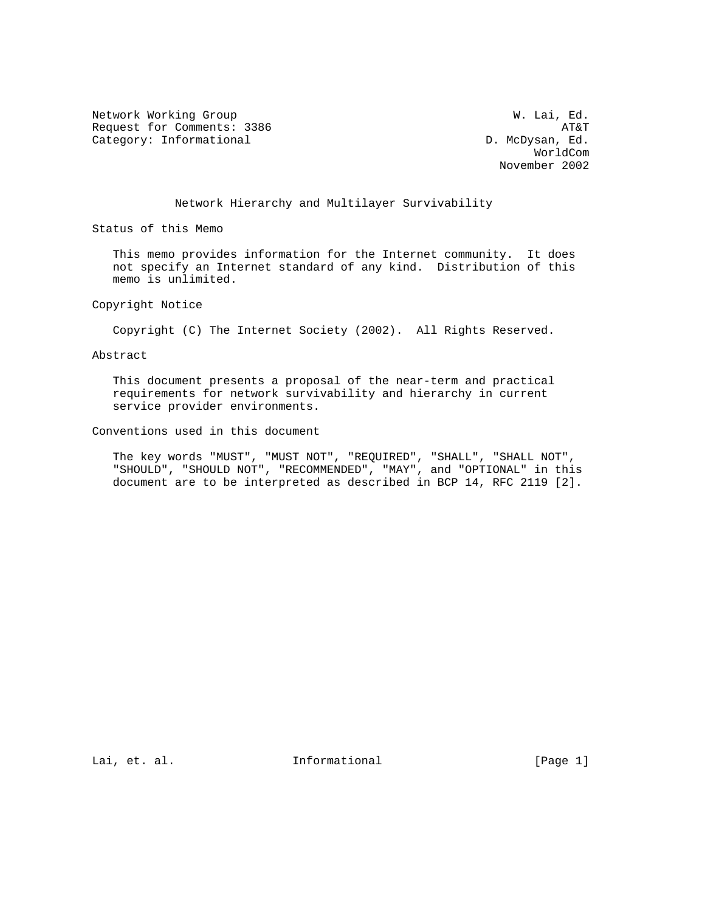Network Working Group Website Communications and M. Lai, Ed. Request for Comments: 3386 AT&T<br>Category: Informational and the category: Informational and the category: Informational and the category:  $\Box$ Category: Informational

 WorldCom November 2002

# Network Hierarchy and Multilayer Survivability

Status of this Memo

 This memo provides information for the Internet community. It does not specify an Internet standard of any kind. Distribution of this memo is unlimited.

Copyright Notice

Copyright (C) The Internet Society (2002). All Rights Reserved.

Abstract

 This document presents a proposal of the near-term and practical requirements for network survivability and hierarchy in current service provider environments.

Conventions used in this document

 The key words "MUST", "MUST NOT", "REQUIRED", "SHALL", "SHALL NOT", "SHOULD", "SHOULD NOT", "RECOMMENDED", "MAY", and "OPTIONAL" in this document are to be interpreted as described in BCP 14, RFC 2119 [2].

Lai, et. al. 111 = Informational 111 = [Page 1]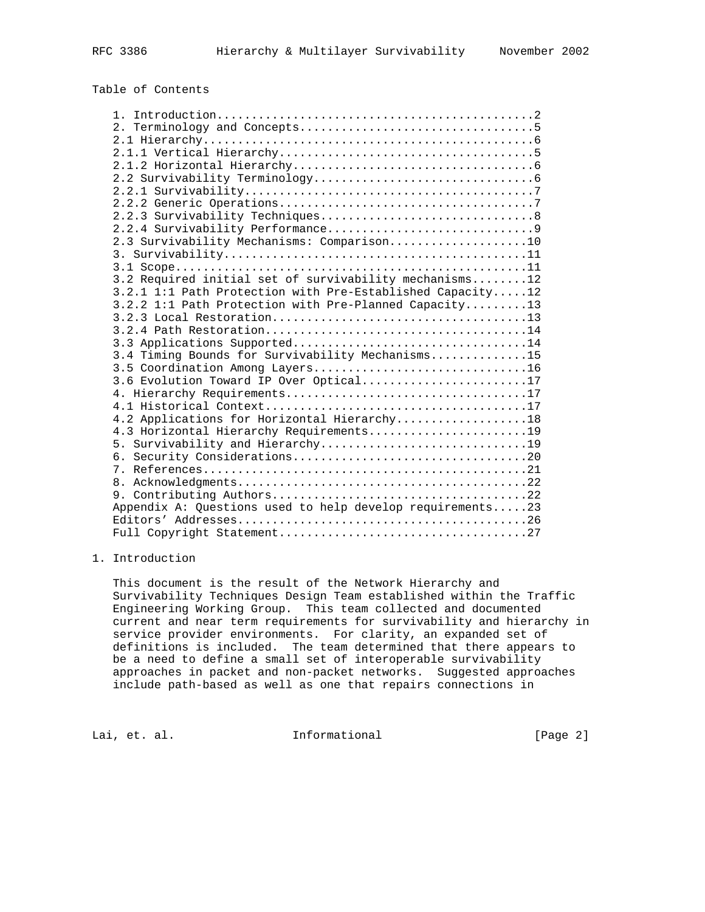# Table of Contents

| 2.3 Survivability Mechanisms: Comparison10                |
|-----------------------------------------------------------|
|                                                           |
|                                                           |
| 3.2 Required initial set of survivability mechanisms12    |
| 3.2.1 1:1 Path Protection with Pre-Established Capacity12 |
| 3.2.2 1:1 Path Protection with Pre-Planned Capacity13     |
|                                                           |
|                                                           |
| 3.3 Applications Supported14                              |
| 3.4 Timing Bounds for Survivability Mechanisms15          |
| 3.5 Coordination Among Layers16                           |
| 3.6 Evolution Toward IP Over Optical17                    |
|                                                           |
|                                                           |
| 4.2 Applications for Horizontal Hierarchy18               |
| 4.3 Horizontal Hierarchy Requirements19                   |
|                                                           |
|                                                           |
|                                                           |
|                                                           |
|                                                           |
| Appendix A: Questions used to help develop requirements23 |
|                                                           |
|                                                           |

### 1. Introduction

 This document is the result of the Network Hierarchy and Survivability Techniques Design Team established within the Traffic Engineering Working Group. This team collected and documented current and near term requirements for survivability and hierarchy in service provider environments. For clarity, an expanded set of definitions is included. The team determined that there appears to be a need to define a small set of interoperable survivability approaches in packet and non-packet networks. Suggested approaches include path-based as well as one that repairs connections in

Lai, et. al. 10. Informational 1. [Page 2]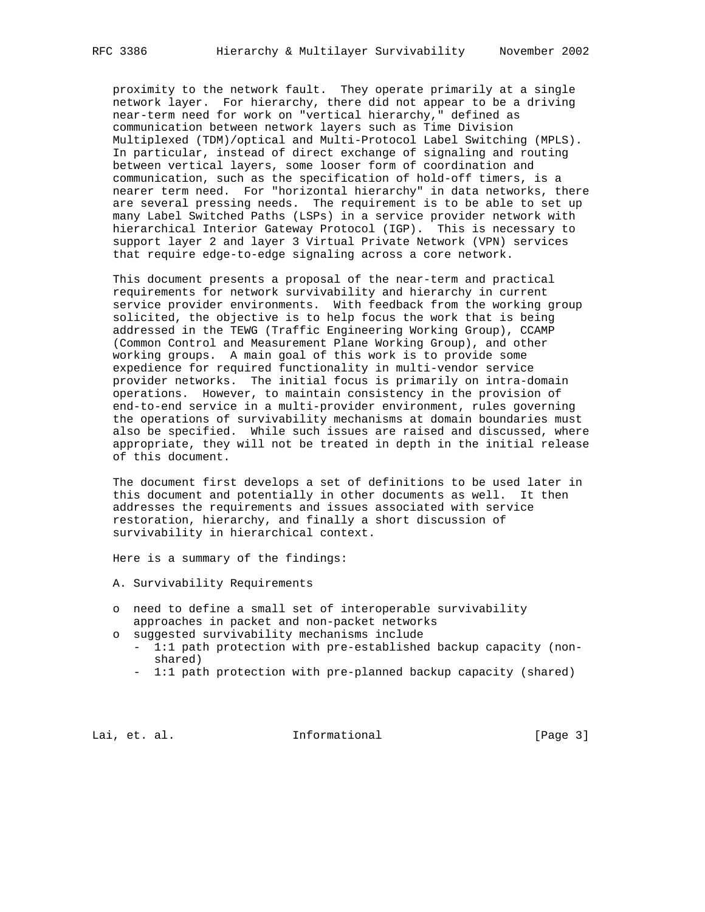proximity to the network fault. They operate primarily at a single network layer. For hierarchy, there did not appear to be a driving near-term need for work on "vertical hierarchy," defined as communication between network layers such as Time Division Multiplexed (TDM)/optical and Multi-Protocol Label Switching (MPLS). In particular, instead of direct exchange of signaling and routing between vertical layers, some looser form of coordination and communication, such as the specification of hold-off timers, is a nearer term need. For "horizontal hierarchy" in data networks, there are several pressing needs. The requirement is to be able to set up many Label Switched Paths (LSPs) in a service provider network with hierarchical Interior Gateway Protocol (IGP). This is necessary to support layer 2 and layer 3 Virtual Private Network (VPN) services that require edge-to-edge signaling across a core network.

 This document presents a proposal of the near-term and practical requirements for network survivability and hierarchy in current service provider environments. With feedback from the working group solicited, the objective is to help focus the work that is being addressed in the TEWG (Traffic Engineering Working Group), CCAMP (Common Control and Measurement Plane Working Group), and other working groups. A main goal of this work is to provide some expedience for required functionality in multi-vendor service provider networks. The initial focus is primarily on intra-domain operations. However, to maintain consistency in the provision of end-to-end service in a multi-provider environment, rules governing the operations of survivability mechanisms at domain boundaries must also be specified. While such issues are raised and discussed, where appropriate, they will not be treated in depth in the initial release of this document.

 The document first develops a set of definitions to be used later in this document and potentially in other documents as well. It then addresses the requirements and issues associated with service restoration, hierarchy, and finally a short discussion of survivability in hierarchical context.

Here is a summary of the findings:

- A. Survivability Requirements
- o need to define a small set of interoperable survivability approaches in packet and non-packet networks
- o suggested survivability mechanisms include
	- 1:1 path protection with pre-established backup capacity (non shared)
	- 1:1 path protection with pre-planned backup capacity (shared)

Lai, et. al. 10. Informational 1. [Page 3]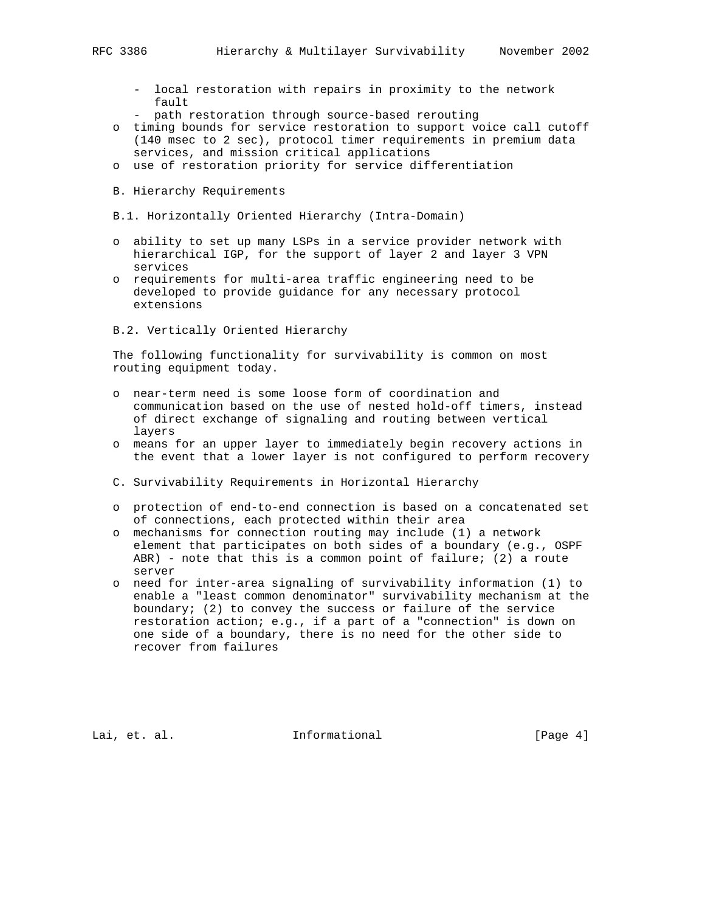- local restoration with repairs in proximity to the network fault
- path restoration through source-based rerouting
- o timing bounds for service restoration to support voice call cutoff (140 msec to 2 sec), protocol timer requirements in premium data services, and mission critical applications
- o use of restoration priority for service differentiation
- B. Hierarchy Requirements
- B.1. Horizontally Oriented Hierarchy (Intra-Domain)
- o ability to set up many LSPs in a service provider network with hierarchical IGP, for the support of layer 2 and layer 3 VPN services
- o requirements for multi-area traffic engineering need to be developed to provide guidance for any necessary protocol extensions
- B.2. Vertically Oriented Hierarchy

 The following functionality for survivability is common on most routing equipment today.

- o near-term need is some loose form of coordination and communication based on the use of nested hold-off timers, instead of direct exchange of signaling and routing between vertical layers
- o means for an upper layer to immediately begin recovery actions in the event that a lower layer is not configured to perform recovery
- C. Survivability Requirements in Horizontal Hierarchy
- o protection of end-to-end connection is based on a concatenated set of connections, each protected within their area
- o mechanisms for connection routing may include (1) a network element that participates on both sides of a boundary (e.g., OSPF ABR) - note that this is a common point of failure; (2) a route server
- o need for inter-area signaling of survivability information (1) to enable a "least common denominator" survivability mechanism at the boundary; (2) to convey the success or failure of the service restoration action; e.g., if a part of a "connection" is down on one side of a boundary, there is no need for the other side to recover from failures

Lai, et. al. 1nformational 1999 (Page 4)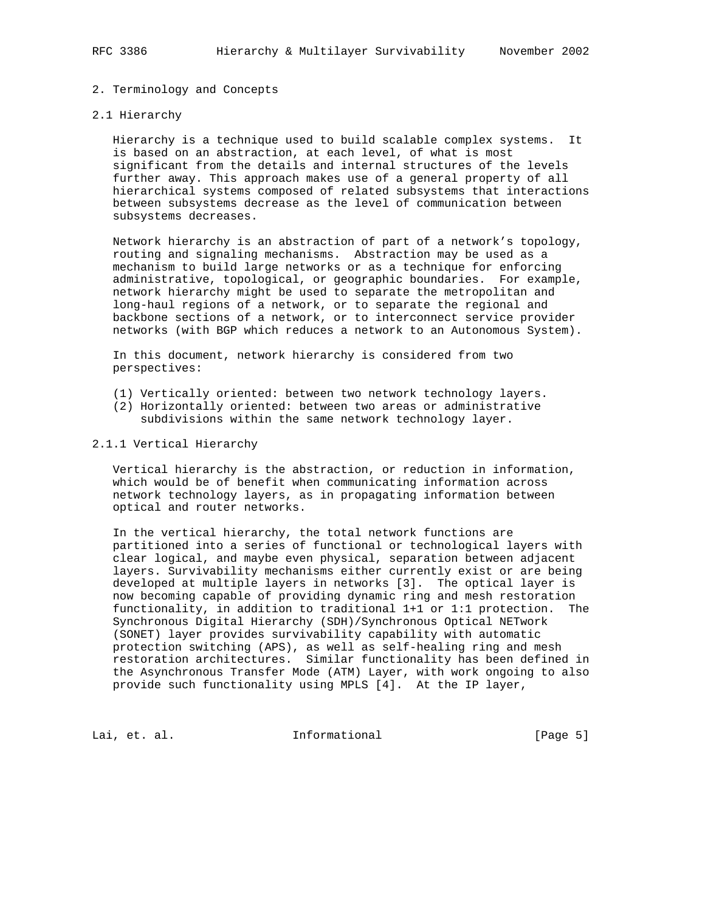# 2. Terminology and Concepts

#### 2.1 Hierarchy

 Hierarchy is a technique used to build scalable complex systems. It is based on an abstraction, at each level, of what is most significant from the details and internal structures of the levels further away. This approach makes use of a general property of all hierarchical systems composed of related subsystems that interactions between subsystems decrease as the level of communication between subsystems decreases.

 Network hierarchy is an abstraction of part of a network's topology, routing and signaling mechanisms. Abstraction may be used as a mechanism to build large networks or as a technique for enforcing administrative, topological, or geographic boundaries. For example, network hierarchy might be used to separate the metropolitan and long-haul regions of a network, or to separate the regional and backbone sections of a network, or to interconnect service provider networks (with BGP which reduces a network to an Autonomous System).

 In this document, network hierarchy is considered from two perspectives:

- (1) Vertically oriented: between two network technology layers.
- (2) Horizontally oriented: between two areas or administrative subdivisions within the same network technology layer.

#### 2.1.1 Vertical Hierarchy

 Vertical hierarchy is the abstraction, or reduction in information, which would be of benefit when communicating information across network technology layers, as in propagating information between optical and router networks.

 In the vertical hierarchy, the total network functions are partitioned into a series of functional or technological layers with clear logical, and maybe even physical, separation between adjacent layers. Survivability mechanisms either currently exist or are being developed at multiple layers in networks [3]. The optical layer is now becoming capable of providing dynamic ring and mesh restoration functionality, in addition to traditional 1+1 or 1:1 protection. The Synchronous Digital Hierarchy (SDH)/Synchronous Optical NETwork (SONET) layer provides survivability capability with automatic protection switching (APS), as well as self-healing ring and mesh restoration architectures. Similar functionality has been defined in the Asynchronous Transfer Mode (ATM) Layer, with work ongoing to also provide such functionality using MPLS [4]. At the IP layer,

Lai, et. al. 10. Informational 1. [Page 5]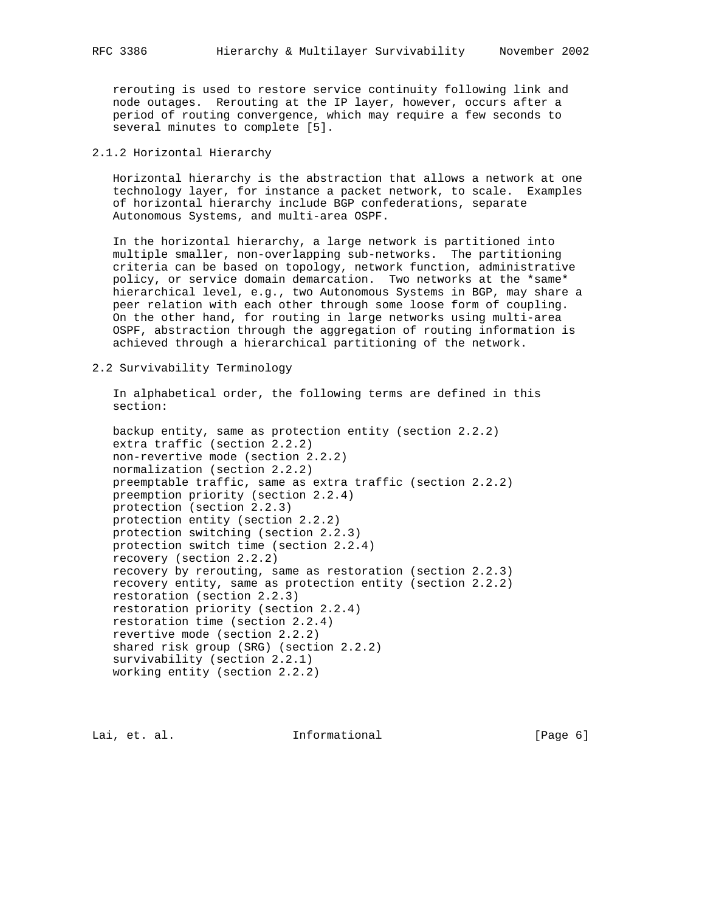rerouting is used to restore service continuity following link and node outages. Rerouting at the IP layer, however, occurs after a period of routing convergence, which may require a few seconds to several minutes to complete [5].

# 2.1.2 Horizontal Hierarchy

 Horizontal hierarchy is the abstraction that allows a network at one technology layer, for instance a packet network, to scale. Examples of horizontal hierarchy include BGP confederations, separate Autonomous Systems, and multi-area OSPF.

 In the horizontal hierarchy, a large network is partitioned into multiple smaller, non-overlapping sub-networks. The partitioning criteria can be based on topology, network function, administrative policy, or service domain demarcation. Two networks at the \*same\* hierarchical level, e.g., two Autonomous Systems in BGP, may share a peer relation with each other through some loose form of coupling. On the other hand, for routing in large networks using multi-area OSPF, abstraction through the aggregation of routing information is achieved through a hierarchical partitioning of the network.

#### 2.2 Survivability Terminology

 In alphabetical order, the following terms are defined in this section:

 backup entity, same as protection entity (section 2.2.2) extra traffic (section 2.2.2) non-revertive mode (section 2.2.2) normalization (section 2.2.2) preemptable traffic, same as extra traffic (section 2.2.2) preemption priority (section 2.2.4) protection (section 2.2.3) protection entity (section 2.2.2) protection switching (section 2.2.3) protection switch time (section 2.2.4) recovery (section 2.2.2) recovery by rerouting, same as restoration (section 2.2.3) recovery entity, same as protection entity (section 2.2.2) restoration (section 2.2.3) restoration priority (section 2.2.4) restoration time (section 2.2.4) revertive mode (section 2.2.2) shared risk group (SRG) (section 2.2.2) survivability (section 2.2.1) working entity (section 2.2.2)

Lai, et. al. **Informational** [Page 6]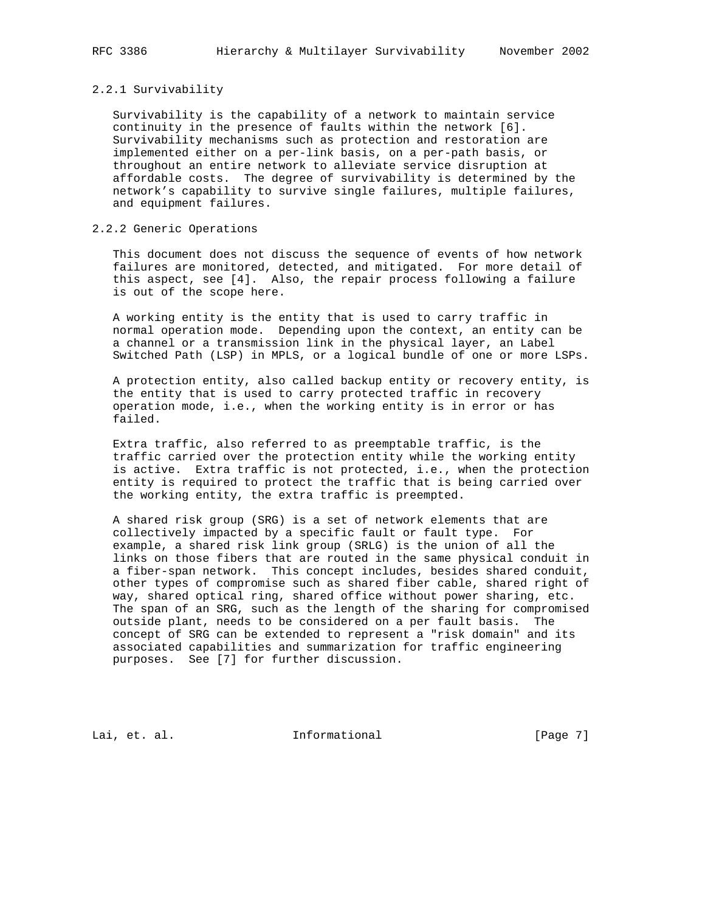#### 2.2.1 Survivability

 Survivability is the capability of a network to maintain service continuity in the presence of faults within the network [6]. Survivability mechanisms such as protection and restoration are implemented either on a per-link basis, on a per-path basis, or throughout an entire network to alleviate service disruption at affordable costs. The degree of survivability is determined by the network's capability to survive single failures, multiple failures, and equipment failures.

# 2.2.2 Generic Operations

 This document does not discuss the sequence of events of how network failures are monitored, detected, and mitigated. For more detail of this aspect, see [4]. Also, the repair process following a failure is out of the scope here.

 A working entity is the entity that is used to carry traffic in normal operation mode. Depending upon the context, an entity can be a channel or a transmission link in the physical layer, an Label Switched Path (LSP) in MPLS, or a logical bundle of one or more LSPs.

 A protection entity, also called backup entity or recovery entity, is the entity that is used to carry protected traffic in recovery operation mode, i.e., when the working entity is in error or has failed.

 Extra traffic, also referred to as preemptable traffic, is the traffic carried over the protection entity while the working entity is active. Extra traffic is not protected, i.e., when the protection entity is required to protect the traffic that is being carried over the working entity, the extra traffic is preempted.

 A shared risk group (SRG) is a set of network elements that are collectively impacted by a specific fault or fault type. For example, a shared risk link group (SRLG) is the union of all the links on those fibers that are routed in the same physical conduit in a fiber-span network. This concept includes, besides shared conduit, other types of compromise such as shared fiber cable, shared right of way, shared optical ring, shared office without power sharing, etc. The span of an SRG, such as the length of the sharing for compromised outside plant, needs to be considered on a per fault basis. The concept of SRG can be extended to represent a "risk domain" and its associated capabilities and summarization for traffic engineering purposes. See [7] for further discussion.

Lai, et. al. 10. Informational 1. [Page 7]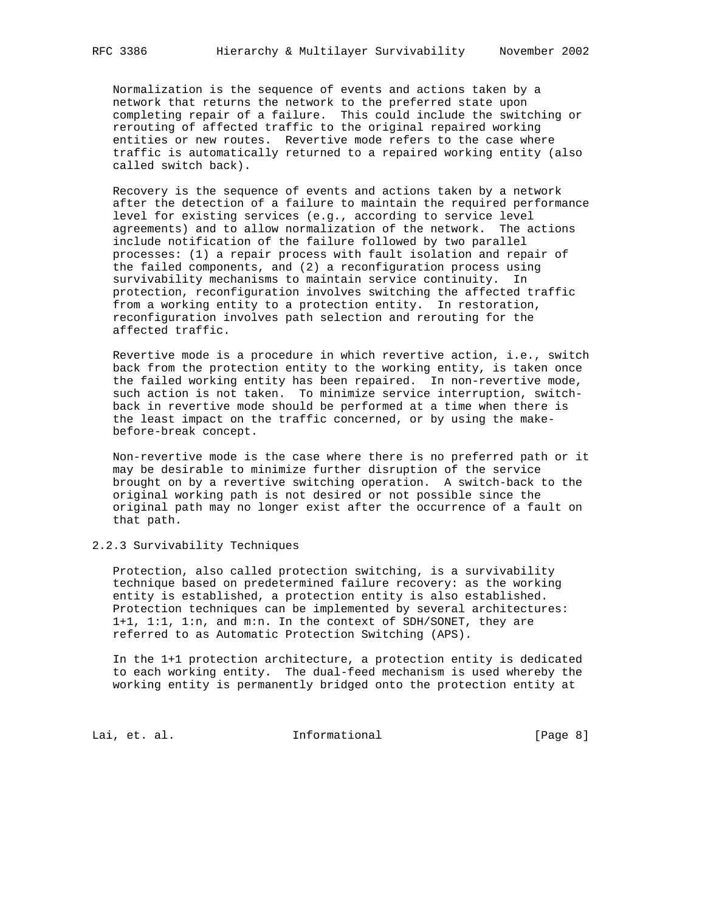Normalization is the sequence of events and actions taken by a network that returns the network to the preferred state upon completing repair of a failure. This could include the switching or rerouting of affected traffic to the original repaired working entities or new routes. Revertive mode refers to the case where traffic is automatically returned to a repaired working entity (also called switch back).

 Recovery is the sequence of events and actions taken by a network after the detection of a failure to maintain the required performance level for existing services (e.g., according to service level agreements) and to allow normalization of the network. The actions include notification of the failure followed by two parallel processes: (1) a repair process with fault isolation and repair of the failed components, and (2) a reconfiguration process using survivability mechanisms to maintain service continuity. In protection, reconfiguration involves switching the affected traffic from a working entity to a protection entity. In restoration, reconfiguration involves path selection and rerouting for the affected traffic.

 Revertive mode is a procedure in which revertive action, i.e., switch back from the protection entity to the working entity, is taken once the failed working entity has been repaired. In non-revertive mode, such action is not taken. To minimize service interruption, switch back in revertive mode should be performed at a time when there is the least impact on the traffic concerned, or by using the make before-break concept.

 Non-revertive mode is the case where there is no preferred path or it may be desirable to minimize further disruption of the service brought on by a revertive switching operation. A switch-back to the original working path is not desired or not possible since the original path may no longer exist after the occurrence of a fault on that path.

2.2.3 Survivability Techniques

 Protection, also called protection switching, is a survivability technique based on predetermined failure recovery: as the working entity is established, a protection entity is also established. Protection techniques can be implemented by several architectures: 1+1, 1:1, 1:n, and m:n. In the context of SDH/SONET, they are referred to as Automatic Protection Switching (APS).

 In the 1+1 protection architecture, a protection entity is dedicated to each working entity. The dual-feed mechanism is used whereby the working entity is permanently bridged onto the protection entity at

Lai, et. al. 10. Informational 1. [Page 8]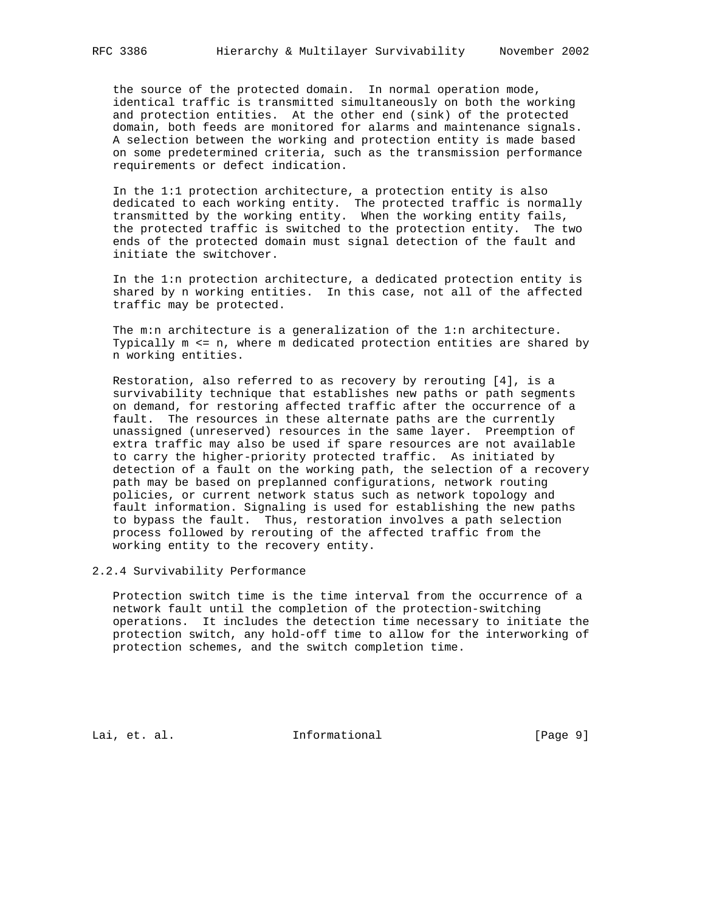the source of the protected domain. In normal operation mode, identical traffic is transmitted simultaneously on both the working and protection entities. At the other end (sink) of the protected domain, both feeds are monitored for alarms and maintenance signals. A selection between the working and protection entity is made based on some predetermined criteria, such as the transmission performance requirements or defect indication.

 In the 1:1 protection architecture, a protection entity is also dedicated to each working entity. The protected traffic is normally transmitted by the working entity. When the working entity fails, the protected traffic is switched to the protection entity. The two ends of the protected domain must signal detection of the fault and initiate the switchover.

 In the 1:n protection architecture, a dedicated protection entity is shared by n working entities. In this case, not all of the affected traffic may be protected.

 The m:n architecture is a generalization of the 1:n architecture. Typically m <= n, where m dedicated protection entities are shared by n working entities.

 Restoration, also referred to as recovery by rerouting [4], is a survivability technique that establishes new paths or path segments on demand, for restoring affected traffic after the occurrence of a fault. The resources in these alternate paths are the currently unassigned (unreserved) resources in the same layer. Preemption of extra traffic may also be used if spare resources are not available to carry the higher-priority protected traffic. As initiated by detection of a fault on the working path, the selection of a recovery path may be based on preplanned configurations, network routing policies, or current network status such as network topology and fault information. Signaling is used for establishing the new paths to bypass the fault. Thus, restoration involves a path selection process followed by rerouting of the affected traffic from the working entity to the recovery entity.

# 2.2.4 Survivability Performance

 Protection switch time is the time interval from the occurrence of a network fault until the completion of the protection-switching operations. It includes the detection time necessary to initiate the protection switch, any hold-off time to allow for the interworking of protection schemes, and the switch completion time.

Lai, et. al. 10. Informational 1. [Page 9]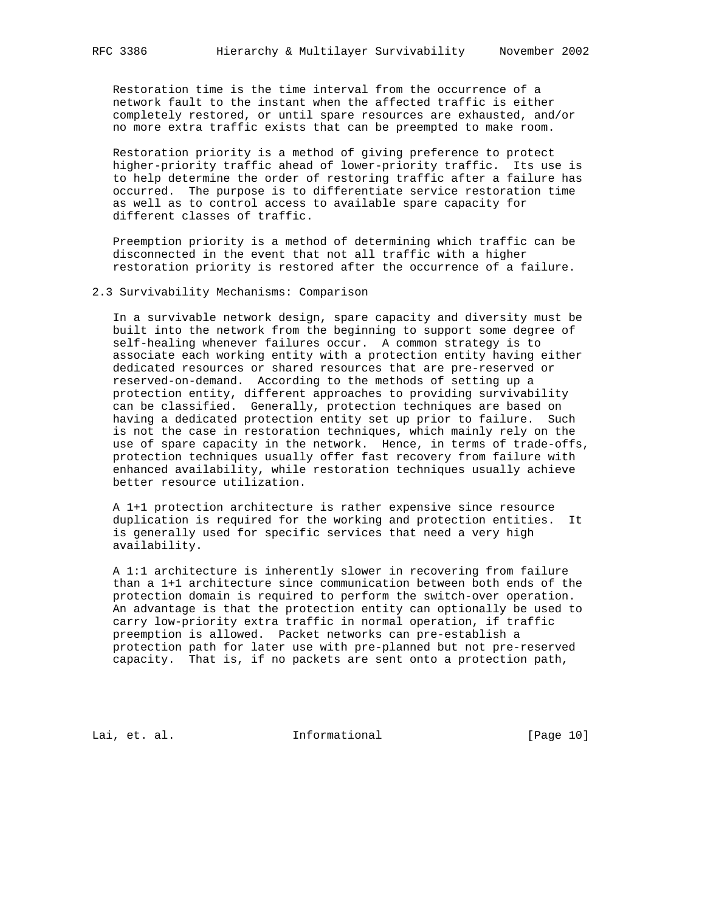Restoration time is the time interval from the occurrence of a network fault to the instant when the affected traffic is either completely restored, or until spare resources are exhausted, and/or no more extra traffic exists that can be preempted to make room.

 Restoration priority is a method of giving preference to protect higher-priority traffic ahead of lower-priority traffic. Its use is to help determine the order of restoring traffic after a failure has occurred. The purpose is to differentiate service restoration time as well as to control access to available spare capacity for different classes of traffic.

 Preemption priority is a method of determining which traffic can be disconnected in the event that not all traffic with a higher restoration priority is restored after the occurrence of a failure.

2.3 Survivability Mechanisms: Comparison

 In a survivable network design, spare capacity and diversity must be built into the network from the beginning to support some degree of self-healing whenever failures occur. A common strategy is to associate each working entity with a protection entity having either dedicated resources or shared resources that are pre-reserved or reserved-on-demand. According to the methods of setting up a protection entity, different approaches to providing survivability can be classified. Generally, protection techniques are based on having a dedicated protection entity set up prior to failure. Such is not the case in restoration techniques, which mainly rely on the use of spare capacity in the network. Hence, in terms of trade-offs, protection techniques usually offer fast recovery from failure with enhanced availability, while restoration techniques usually achieve better resource utilization.

 A 1+1 protection architecture is rather expensive since resource duplication is required for the working and protection entities. It is generally used for specific services that need a very high availability.

 A 1:1 architecture is inherently slower in recovering from failure than a 1+1 architecture since communication between both ends of the protection domain is required to perform the switch-over operation. An advantage is that the protection entity can optionally be used to carry low-priority extra traffic in normal operation, if traffic preemption is allowed. Packet networks can pre-establish a protection path for later use with pre-planned but not pre-reserved capacity. That is, if no packets are sent onto a protection path,

Lai, et. al. 10. Informational 1.1 [Page 10]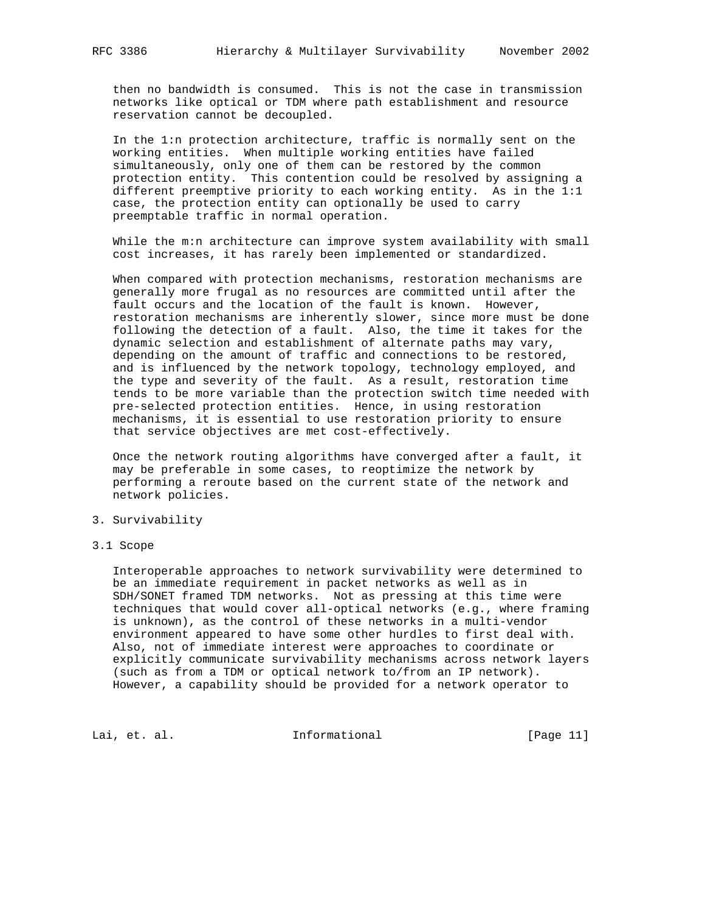then no bandwidth is consumed. This is not the case in transmission networks like optical or TDM where path establishment and resource reservation cannot be decoupled.

 In the 1:n protection architecture, traffic is normally sent on the working entities. When multiple working entities have failed simultaneously, only one of them can be restored by the common protection entity. This contention could be resolved by assigning a different preemptive priority to each working entity. As in the 1:1 case, the protection entity can optionally be used to carry preemptable traffic in normal operation.

While the m:n architecture can improve system availability with small cost increases, it has rarely been implemented or standardized.

 When compared with protection mechanisms, restoration mechanisms are generally more frugal as no resources are committed until after the fault occurs and the location of the fault is known. However, restoration mechanisms are inherently slower, since more must be done following the detection of a fault. Also, the time it takes for the dynamic selection and establishment of alternate paths may vary, depending on the amount of traffic and connections to be restored, and is influenced by the network topology, technology employed, and the type and severity of the fault. As a result, restoration time tends to be more variable than the protection switch time needed with pre-selected protection entities. Hence, in using restoration mechanisms, it is essential to use restoration priority to ensure that service objectives are met cost-effectively.

 Once the network routing algorithms have converged after a fault, it may be preferable in some cases, to reoptimize the network by performing a reroute based on the current state of the network and network policies.

#### 3. Survivability

#### 3.1 Scope

 Interoperable approaches to network survivability were determined to be an immediate requirement in packet networks as well as in SDH/SONET framed TDM networks. Not as pressing at this time were techniques that would cover all-optical networks (e.g., where framing is unknown), as the control of these networks in a multi-vendor environment appeared to have some other hurdles to first deal with. Also, not of immediate interest were approaches to coordinate or explicitly communicate survivability mechanisms across network layers (such as from a TDM or optical network to/from an IP network). However, a capability should be provided for a network operator to

Lai, et. al. 10. Informational 1.1 [Page 11]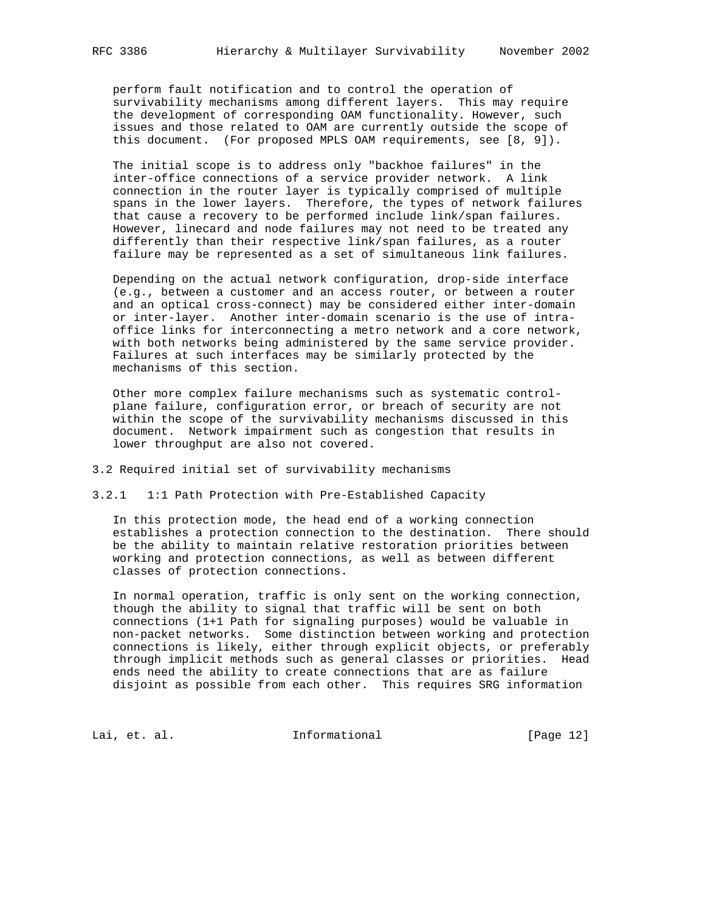perform fault notification and to control the operation of survivability mechanisms among different layers. This may require the development of corresponding OAM functionality. However, such issues and those related to OAM are currently outside the scope of this document. (For proposed MPLS OAM requirements, see [8, 9]).

 The initial scope is to address only "backhoe failures" in the inter-office connections of a service provider network. A link connection in the router layer is typically comprised of multiple spans in the lower layers. Therefore, the types of network failures that cause a recovery to be performed include link/span failures. However, linecard and node failures may not need to be treated any differently than their respective link/span failures, as a router failure may be represented as a set of simultaneous link failures.

 Depending on the actual network configuration, drop-side interface (e.g., between a customer and an access router, or between a router and an optical cross-connect) may be considered either inter-domain or inter-layer. Another inter-domain scenario is the use of intra office links for interconnecting a metro network and a core network, with both networks being administered by the same service provider. Failures at such interfaces may be similarly protected by the mechanisms of this section.

 Other more complex failure mechanisms such as systematic control plane failure, configuration error, or breach of security are not within the scope of the survivability mechanisms discussed in this document. Network impairment such as congestion that results in lower throughput are also not covered.

### 3.2 Required initial set of survivability mechanisms

# 3.2.1 1:1 Path Protection with Pre-Established Capacity

 In this protection mode, the head end of a working connection establishes a protection connection to the destination. There should be the ability to maintain relative restoration priorities between working and protection connections, as well as between different classes of protection connections.

 In normal operation, traffic is only sent on the working connection, though the ability to signal that traffic will be sent on both connections (1+1 Path for signaling purposes) would be valuable in non-packet networks. Some distinction between working and protection connections is likely, either through explicit objects, or preferably through implicit methods such as general classes or priorities. Head ends need the ability to create connections that are as failure disjoint as possible from each other. This requires SRG information

Lai, et. al. 10. Informational [Page 12]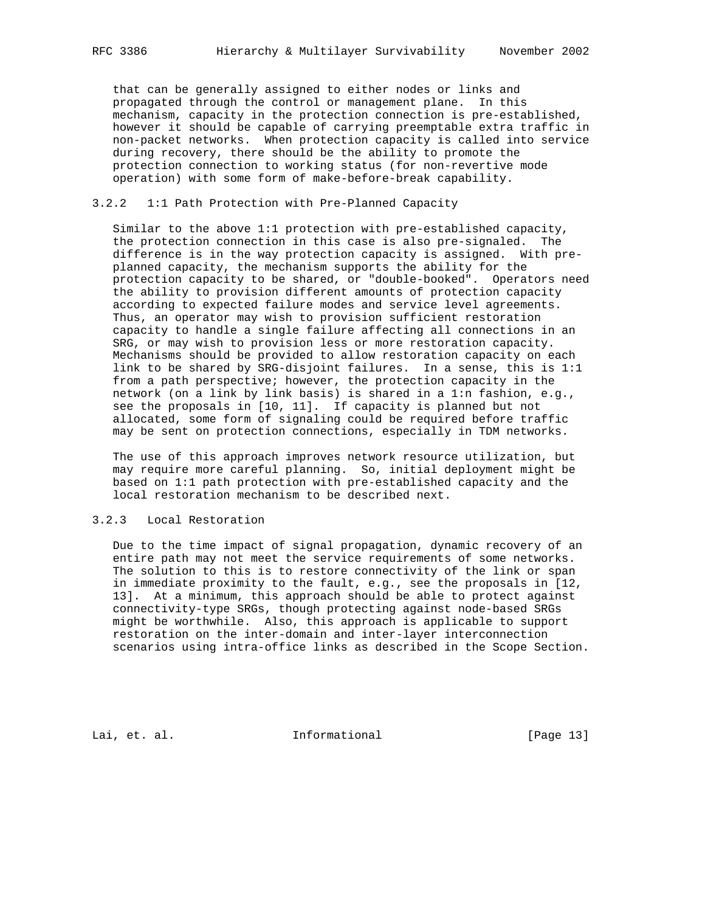that can be generally assigned to either nodes or links and propagated through the control or management plane. In this mechanism, capacity in the protection connection is pre-established, however it should be capable of carrying preemptable extra traffic in non-packet networks. When protection capacity is called into service during recovery, there should be the ability to promote the protection connection to working status (for non-revertive mode operation) with some form of make-before-break capability.

# 3.2.2 1:1 Path Protection with Pre-Planned Capacity

 Similar to the above 1:1 protection with pre-established capacity, the protection connection in this case is also pre-signaled. The difference is in the way protection capacity is assigned. With pre planned capacity, the mechanism supports the ability for the protection capacity to be shared, or "double-booked". Operators need the ability to provision different amounts of protection capacity according to expected failure modes and service level agreements. Thus, an operator may wish to provision sufficient restoration capacity to handle a single failure affecting all connections in an SRG, or may wish to provision less or more restoration capacity. Mechanisms should be provided to allow restoration capacity on each link to be shared by SRG-disjoint failures. In a sense, this is 1:1 from a path perspective; however, the protection capacity in the network (on a link by link basis) is shared in a 1:n fashion, e.g., see the proposals in [10, 11]. If capacity is planned but not allocated, some form of signaling could be required before traffic may be sent on protection connections, especially in TDM networks.

 The use of this approach improves network resource utilization, but may require more careful planning. So, initial deployment might be based on 1:1 path protection with pre-established capacity and the local restoration mechanism to be described next.

# 3.2.3 Local Restoration

 Due to the time impact of signal propagation, dynamic recovery of an entire path may not meet the service requirements of some networks. The solution to this is to restore connectivity of the link or span in immediate proximity to the fault, e.g., see the proposals in [12, 13]. At a minimum, this approach should be able to protect against connectivity-type SRGs, though protecting against node-based SRGs might be worthwhile. Also, this approach is applicable to support restoration on the inter-domain and inter-layer interconnection scenarios using intra-office links as described in the Scope Section.

Lai, et. al. 10. Informational 1. [Page 13]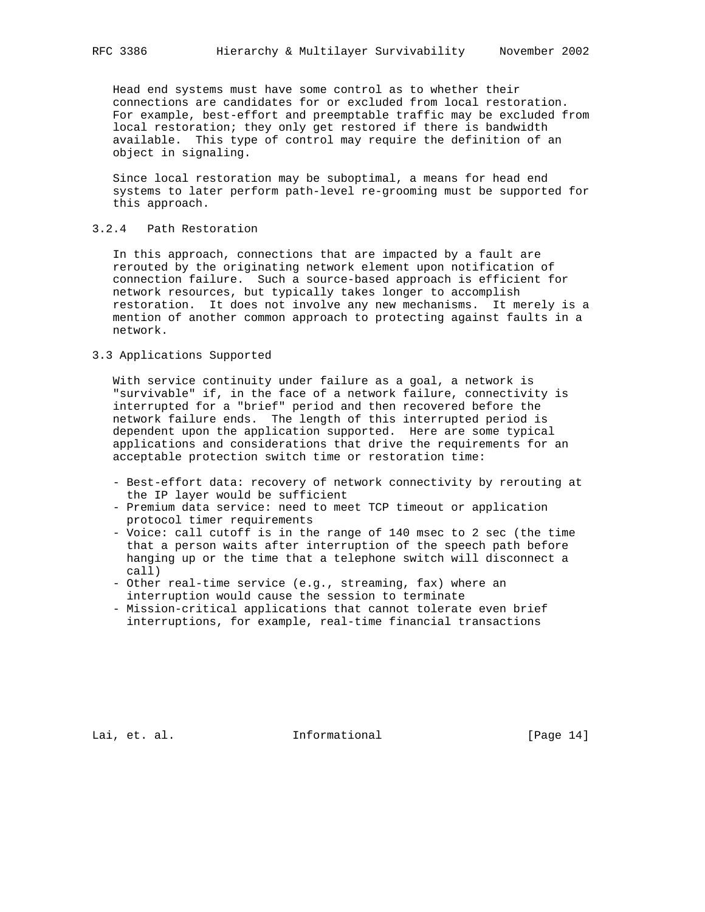Head end systems must have some control as to whether their connections are candidates for or excluded from local restoration. For example, best-effort and preemptable traffic may be excluded from local restoration; they only get restored if there is bandwidth available. This type of control may require the definition of an object in signaling.

 Since local restoration may be suboptimal, a means for head end systems to later perform path-level re-grooming must be supported for this approach.

# 3.2.4 Path Restoration

 In this approach, connections that are impacted by a fault are rerouted by the originating network element upon notification of connection failure. Such a source-based approach is efficient for network resources, but typically takes longer to accomplish restoration. It does not involve any new mechanisms. It merely is a mention of another common approach to protecting against faults in a network.

# 3.3 Applications Supported

 With service continuity under failure as a goal, a network is "survivable" if, in the face of a network failure, connectivity is interrupted for a "brief" period and then recovered before the network failure ends. The length of this interrupted period is dependent upon the application supported. Here are some typical applications and considerations that drive the requirements for an acceptable protection switch time or restoration time:

- Best-effort data: recovery of network connectivity by rerouting at the IP layer would be sufficient
- Premium data service: need to meet TCP timeout or application protocol timer requirements
- Voice: call cutoff is in the range of 140 msec to 2 sec (the time that a person waits after interruption of the speech path before hanging up or the time that a telephone switch will disconnect a call)
- Other real-time service (e.g., streaming, fax) where an interruption would cause the session to terminate
- Mission-critical applications that cannot tolerate even brief interruptions, for example, real-time financial transactions

Lai, et. al. 10. Informational 1.1 [Page 14]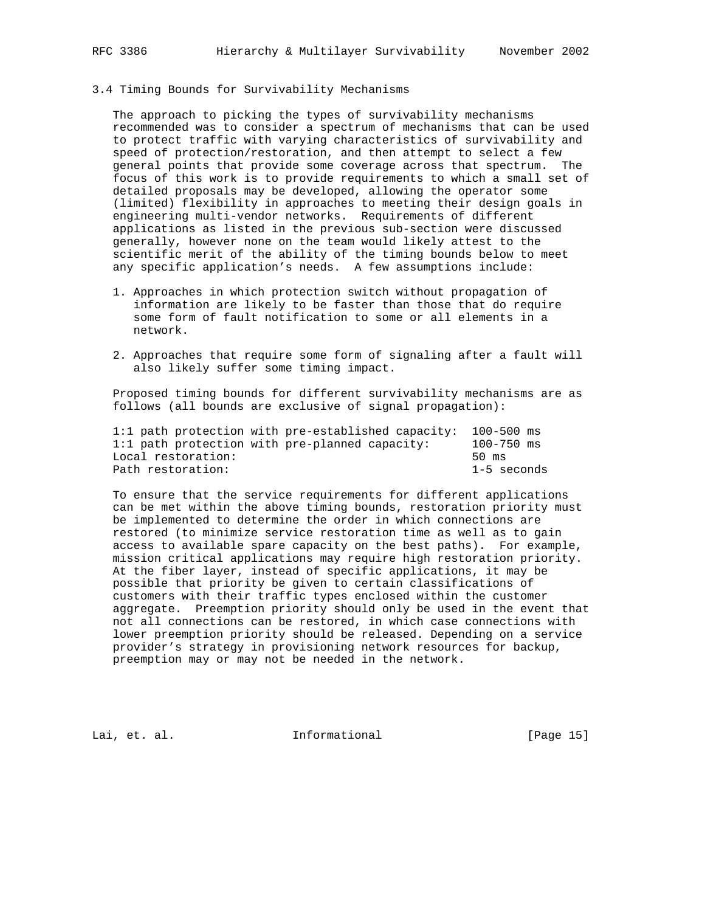# 3.4 Timing Bounds for Survivability Mechanisms

 The approach to picking the types of survivability mechanisms recommended was to consider a spectrum of mechanisms that can be used to protect traffic with varying characteristics of survivability and speed of protection/restoration, and then attempt to select a few general points that provide some coverage across that spectrum. The focus of this work is to provide requirements to which a small set of detailed proposals may be developed, allowing the operator some (limited) flexibility in approaches to meeting their design goals in engineering multi-vendor networks. Requirements of different applications as listed in the previous sub-section were discussed generally, however none on the team would likely attest to the scientific merit of the ability of the timing bounds below to meet any specific application's needs. A few assumptions include:

- 1. Approaches in which protection switch without propagation of information are likely to be faster than those that do require some form of fault notification to some or all elements in a network.
- 2. Approaches that require some form of signaling after a fault will also likely suffer some timing impact.

 Proposed timing bounds for different survivability mechanisms are as follows (all bounds are exclusive of signal propagation):

| 1:1 path protection with pre-established capacity: 100-500 ms |                 |
|---------------------------------------------------------------|-----------------|
| 1:1 path protection with pre-planned capacity:                | $100 - 750$ ms  |
| Local restoration:                                            | $50 \text{ ms}$ |
| Path restoration:                                             | 1-5 seconds     |

 To ensure that the service requirements for different applications can be met within the above timing bounds, restoration priority must be implemented to determine the order in which connections are restored (to minimize service restoration time as well as to gain access to available spare capacity on the best paths). For example, mission critical applications may require high restoration priority. At the fiber layer, instead of specific applications, it may be possible that priority be given to certain classifications of customers with their traffic types enclosed within the customer aggregate. Preemption priority should only be used in the event that not all connections can be restored, in which case connections with lower preemption priority should be released. Depending on a service provider's strategy in provisioning network resources for backup, preemption may or may not be needed in the network.

Lai, et. al. Informational [Page 15]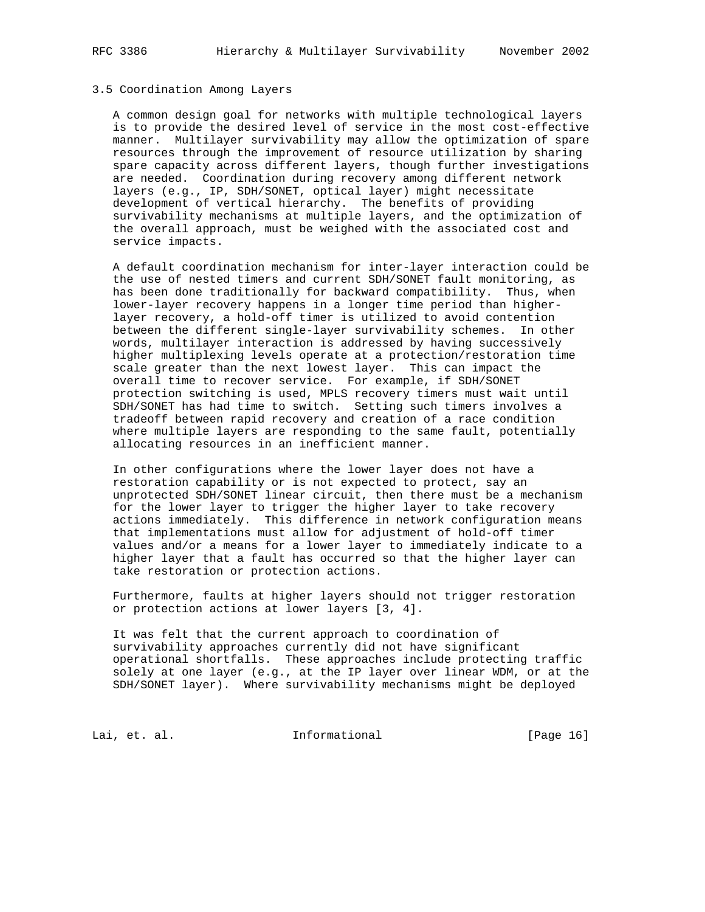# 3.5 Coordination Among Layers

 A common design goal for networks with multiple technological layers is to provide the desired level of service in the most cost-effective manner. Multilayer survivability may allow the optimization of spare resources through the improvement of resource utilization by sharing spare capacity across different layers, though further investigations are needed. Coordination during recovery among different network layers (e.g., IP, SDH/SONET, optical layer) might necessitate development of vertical hierarchy. The benefits of providing survivability mechanisms at multiple layers, and the optimization of the overall approach, must be weighed with the associated cost and service impacts.

 A default coordination mechanism for inter-layer interaction could be the use of nested timers and current SDH/SONET fault monitoring, as has been done traditionally for backward compatibility. Thus, when lower-layer recovery happens in a longer time period than higher layer recovery, a hold-off timer is utilized to avoid contention between the different single-layer survivability schemes. In other words, multilayer interaction is addressed by having successively higher multiplexing levels operate at a protection/restoration time scale greater than the next lowest layer. This can impact the overall time to recover service. For example, if SDH/SONET protection switching is used, MPLS recovery timers must wait until SDH/SONET has had time to switch. Setting such timers involves a tradeoff between rapid recovery and creation of a race condition where multiple layers are responding to the same fault, potentially allocating resources in an inefficient manner.

 In other configurations where the lower layer does not have a restoration capability or is not expected to protect, say an unprotected SDH/SONET linear circuit, then there must be a mechanism for the lower layer to trigger the higher layer to take recovery actions immediately. This difference in network configuration means that implementations must allow for adjustment of hold-off timer values and/or a means for a lower layer to immediately indicate to a higher layer that a fault has occurred so that the higher layer can take restoration or protection actions.

 Furthermore, faults at higher layers should not trigger restoration or protection actions at lower layers [3, 4].

 It was felt that the current approach to coordination of survivability approaches currently did not have significant operational shortfalls. These approaches include protecting traffic solely at one layer (e.g., at the IP layer over linear WDM, or at the SDH/SONET layer). Where survivability mechanisms might be deployed

Lai, et. al. 10. Informational 1. [Page 16]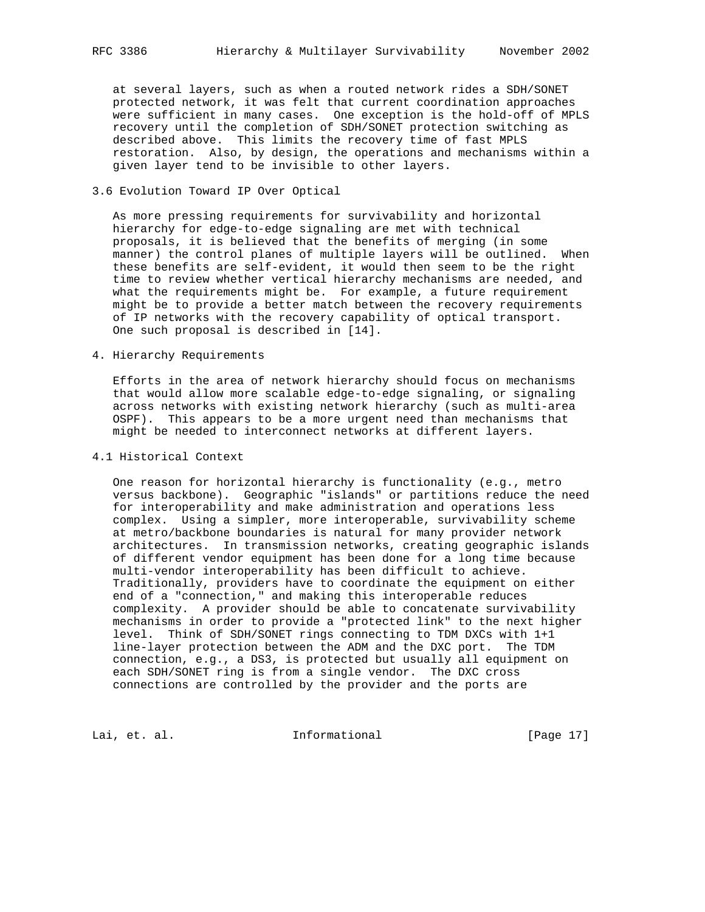at several layers, such as when a routed network rides a SDH/SONET protected network, it was felt that current coordination approaches were sufficient in many cases. One exception is the hold-off of MPLS recovery until the completion of SDH/SONET protection switching as described above. This limits the recovery time of fast MPLS restoration. Also, by design, the operations and mechanisms within a given layer tend to be invisible to other layers.

### 3.6 Evolution Toward IP Over Optical

 As more pressing requirements for survivability and horizontal hierarchy for edge-to-edge signaling are met with technical proposals, it is believed that the benefits of merging (in some manner) the control planes of multiple layers will be outlined. When these benefits are self-evident, it would then seem to be the right time to review whether vertical hierarchy mechanisms are needed, and what the requirements might be. For example, a future requirement might be to provide a better match between the recovery requirements of IP networks with the recovery capability of optical transport. One such proposal is described in [14].

### 4. Hierarchy Requirements

 Efforts in the area of network hierarchy should focus on mechanisms that would allow more scalable edge-to-edge signaling, or signaling across networks with existing network hierarchy (such as multi-area OSPF). This appears to be a more urgent need than mechanisms that might be needed to interconnect networks at different layers.

### 4.1 Historical Context

 One reason for horizontal hierarchy is functionality (e.g., metro versus backbone). Geographic "islands" or partitions reduce the need for interoperability and make administration and operations less complex. Using a simpler, more interoperable, survivability scheme at metro/backbone boundaries is natural for many provider network architectures. In transmission networks, creating geographic islands of different vendor equipment has been done for a long time because multi-vendor interoperability has been difficult to achieve. Traditionally, providers have to coordinate the equipment on either end of a "connection," and making this interoperable reduces complexity. A provider should be able to concatenate survivability mechanisms in order to provide a "protected link" to the next higher level. Think of SDH/SONET rings connecting to TDM DXCs with 1+1 line-layer protection between the ADM and the DXC port. The TDM connection, e.g., a DS3, is protected but usually all equipment on each SDH/SONET ring is from a single vendor. The DXC cross connections are controlled by the provider and the ports are

Lai, et. al. 10. Informational 1.1 [Page 17]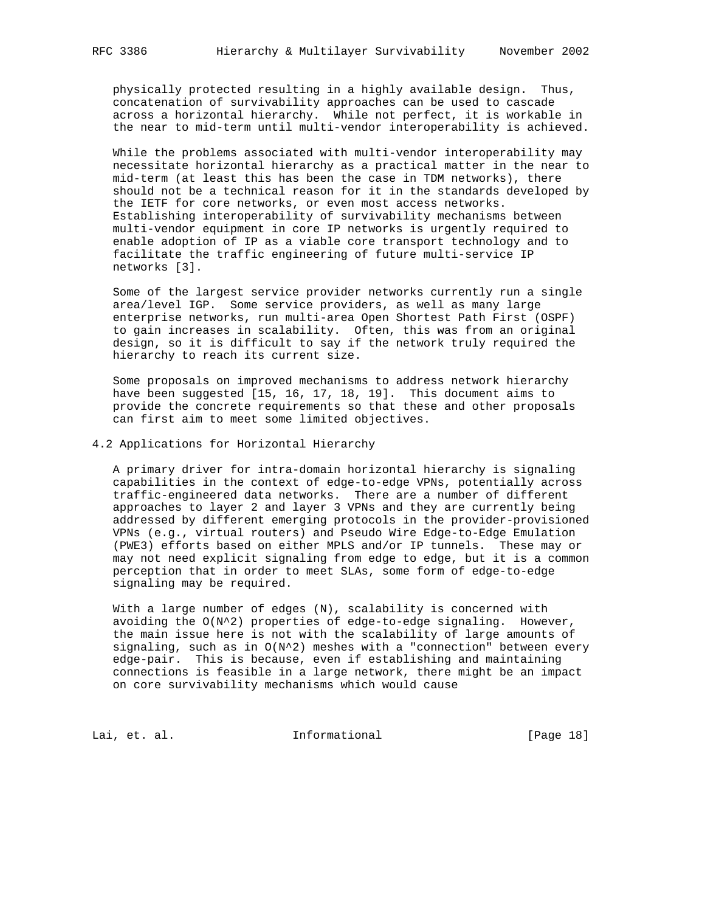physically protected resulting in a highly available design. Thus, concatenation of survivability approaches can be used to cascade across a horizontal hierarchy. While not perfect, it is workable in the near to mid-term until multi-vendor interoperability is achieved.

 While the problems associated with multi-vendor interoperability may necessitate horizontal hierarchy as a practical matter in the near to mid-term (at least this has been the case in TDM networks), there should not be a technical reason for it in the standards developed by the IETF for core networks, or even most access networks. Establishing interoperability of survivability mechanisms between multi-vendor equipment in core IP networks is urgently required to enable adoption of IP as a viable core transport technology and to facilitate the traffic engineering of future multi-service IP networks [3].

 Some of the largest service provider networks currently run a single area/level IGP. Some service providers, as well as many large enterprise networks, run multi-area Open Shortest Path First (OSPF) to gain increases in scalability. Often, this was from an original design, so it is difficult to say if the network truly required the hierarchy to reach its current size.

 Some proposals on improved mechanisms to address network hierarchy have been suggested [15, 16, 17, 18, 19]. This document aims to provide the concrete requirements so that these and other proposals can first aim to meet some limited objectives.

4.2 Applications for Horizontal Hierarchy

 A primary driver for intra-domain horizontal hierarchy is signaling capabilities in the context of edge-to-edge VPNs, potentially across traffic-engineered data networks. There are a number of different approaches to layer 2 and layer 3 VPNs and they are currently being addressed by different emerging protocols in the provider-provisioned VPNs (e.g., virtual routers) and Pseudo Wire Edge-to-Edge Emulation (PWE3) efforts based on either MPLS and/or IP tunnels. These may or may not need explicit signaling from edge to edge, but it is a common perception that in order to meet SLAs, some form of edge-to-edge signaling may be required.

 With a large number of edges (N), scalability is concerned with avoiding the  $O(N^2)$  properties of edge-to-edge signaling. However, the main issue here is not with the scalability of large amounts of signaling, such as in  $O(N^2)$  meshes with a "connection" between every edge-pair. This is because, even if establishing and maintaining connections is feasible in a large network, there might be an impact on core survivability mechanisms which would cause

Lai, et. al. 10. Informational [Page 18]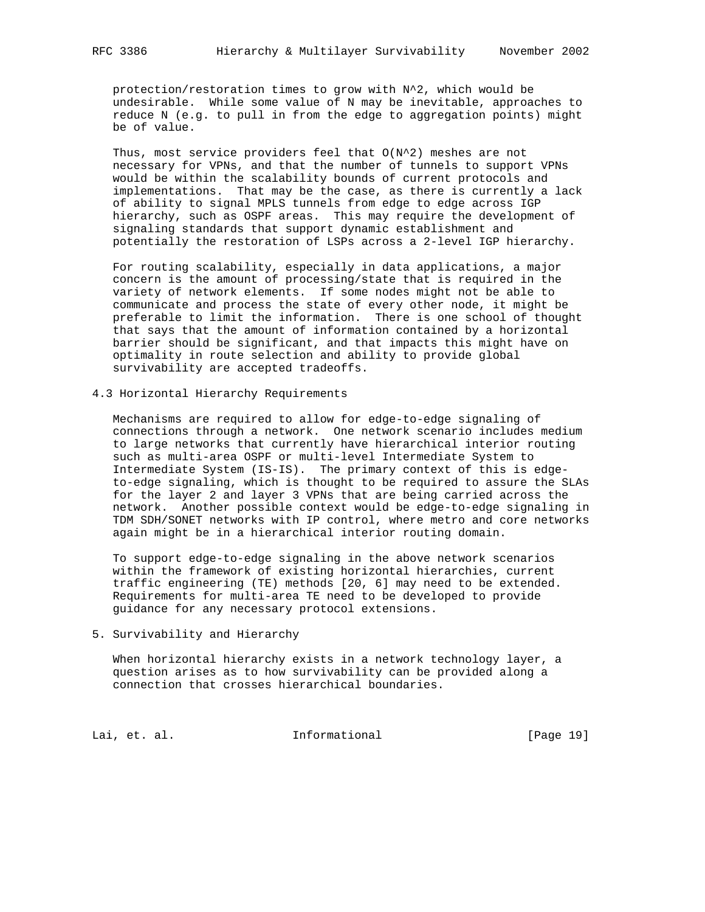protection/restoration times to grow with N^2, which would be undesirable. While some value of N may be inevitable, approaches to reduce N (e.g. to pull in from the edge to aggregation points) might be of value.

 Thus, most service providers feel that O(N^2) meshes are not necessary for VPNs, and that the number of tunnels to support VPNs would be within the scalability bounds of current protocols and implementations. That may be the case, as there is currently a lack of ability to signal MPLS tunnels from edge to edge across IGP hierarchy, such as OSPF areas. This may require the development of signaling standards that support dynamic establishment and potentially the restoration of LSPs across a 2-level IGP hierarchy.

 For routing scalability, especially in data applications, a major concern is the amount of processing/state that is required in the variety of network elements. If some nodes might not be able to communicate and process the state of every other node, it might be preferable to limit the information. There is one school of thought that says that the amount of information contained by a horizontal barrier should be significant, and that impacts this might have on optimality in route selection and ability to provide global survivability are accepted tradeoffs.

### 4.3 Horizontal Hierarchy Requirements

 Mechanisms are required to allow for edge-to-edge signaling of connections through a network. One network scenario includes medium to large networks that currently have hierarchical interior routing such as multi-area OSPF or multi-level Intermediate System to Intermediate System (IS-IS). The primary context of this is edge to-edge signaling, which is thought to be required to assure the SLAs for the layer 2 and layer 3 VPNs that are being carried across the network. Another possible context would be edge-to-edge signaling in TDM SDH/SONET networks with IP control, where metro and core networks again might be in a hierarchical interior routing domain.

 To support edge-to-edge signaling in the above network scenarios within the framework of existing horizontal hierarchies, current traffic engineering (TE) methods [20, 6] may need to be extended. Requirements for multi-area TE need to be developed to provide guidance for any necessary protocol extensions.

5. Survivability and Hierarchy

 When horizontal hierarchy exists in a network technology layer, a question arises as to how survivability can be provided along a connection that crosses hierarchical boundaries.

Lai, et. al. 10. Informational [Page 19]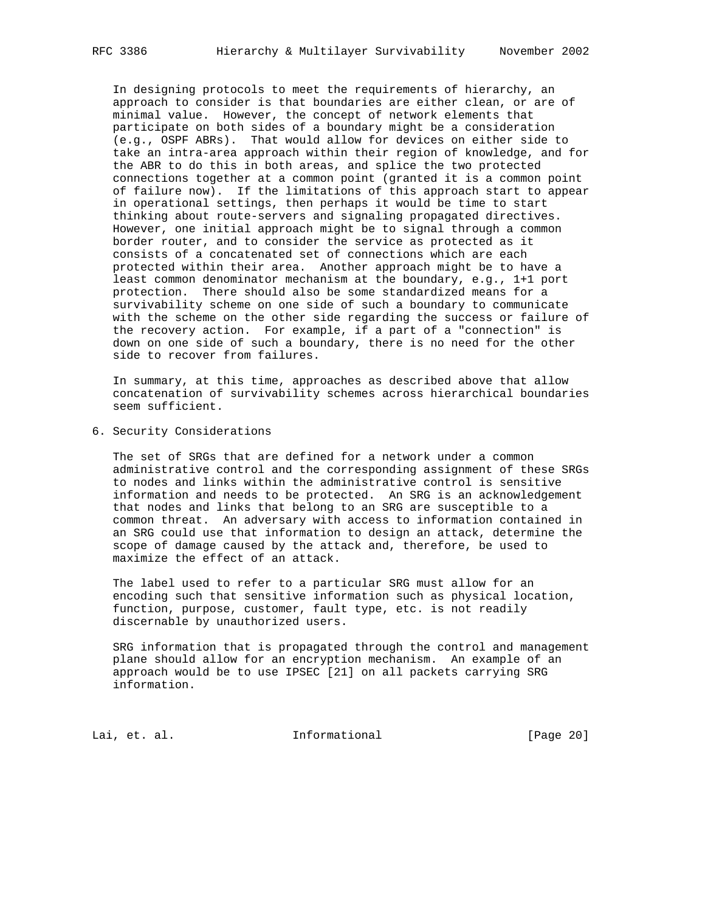In designing protocols to meet the requirements of hierarchy, an approach to consider is that boundaries are either clean, or are of minimal value. However, the concept of network elements that participate on both sides of a boundary might be a consideration (e.g., OSPF ABRs). That would allow for devices on either side to take an intra-area approach within their region of knowledge, and for the ABR to do this in both areas, and splice the two protected connections together at a common point (granted it is a common point of failure now). If the limitations of this approach start to appear in operational settings, then perhaps it would be time to start thinking about route-servers and signaling propagated directives. However, one initial approach might be to signal through a common border router, and to consider the service as protected as it consists of a concatenated set of connections which are each protected within their area. Another approach might be to have a least common denominator mechanism at the boundary, e.g., 1+1 port protection. There should also be some standardized means for a survivability scheme on one side of such a boundary to communicate with the scheme on the other side regarding the success or failure of the recovery action. For example, if a part of a "connection" is

 In summary, at this time, approaches as described above that allow concatenation of survivability schemes across hierarchical boundaries seem sufficient.

down on one side of such a boundary, there is no need for the other

6. Security Considerations

side to recover from failures.

 The set of SRGs that are defined for a network under a common administrative control and the corresponding assignment of these SRGs to nodes and links within the administrative control is sensitive information and needs to be protected. An SRG is an acknowledgement that nodes and links that belong to an SRG are susceptible to a common threat. An adversary with access to information contained in an SRG could use that information to design an attack, determine the scope of damage caused by the attack and, therefore, be used to maximize the effect of an attack.

 The label used to refer to a particular SRG must allow for an encoding such that sensitive information such as physical location, function, purpose, customer, fault type, etc. is not readily discernable by unauthorized users.

 SRG information that is propagated through the control and management plane should allow for an encryption mechanism. An example of an approach would be to use IPSEC [21] on all packets carrying SRG information.

Lai, et. al. 10. Informational 1. [Page 20]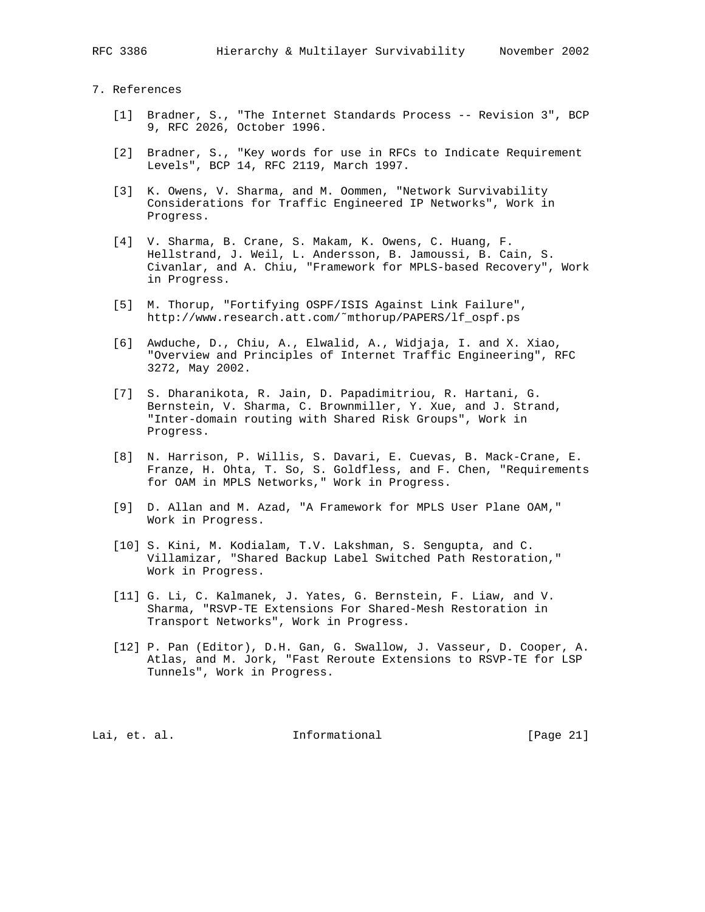- [1] Bradner, S., "The Internet Standards Process -- Revision 3", BCP 9, RFC 2026, October 1996.
- [2] Bradner, S., "Key words for use in RFCs to Indicate Requirement Levels", BCP 14, RFC 2119, March 1997.
- [3] K. Owens, V. Sharma, and M. Oommen, "Network Survivability Considerations for Traffic Engineered IP Networks", Work in Progress.
- [4] V. Sharma, B. Crane, S. Makam, K. Owens, C. Huang, F. Hellstrand, J. Weil, L. Andersson, B. Jamoussi, B. Cain, S. Civanlar, and A. Chiu, "Framework for MPLS-based Recovery", Work in Progress.
- [5] M. Thorup, "Fortifying OSPF/ISIS Against Link Failure", http://www.research.att.com/˜mthorup/PAPERS/lf\_ospf.ps
- [6] Awduche, D., Chiu, A., Elwalid, A., Widjaja, I. and X. Xiao, "Overview and Principles of Internet Traffic Engineering", RFC 3272, May 2002.
- [7] S. Dharanikota, R. Jain, D. Papadimitriou, R. Hartani, G. Bernstein, V. Sharma, C. Brownmiller, Y. Xue, and J. Strand, "Inter-domain routing with Shared Risk Groups", Work in Progress.
- [8] N. Harrison, P. Willis, S. Davari, E. Cuevas, B. Mack-Crane, E. Franze, H. Ohta, T. So, S. Goldfless, and F. Chen, "Requirements for OAM in MPLS Networks," Work in Progress.
- [9] D. Allan and M. Azad, "A Framework for MPLS User Plane OAM," Work in Progress.
- [10] S. Kini, M. Kodialam, T.V. Lakshman, S. Sengupta, and C. Villamizar, "Shared Backup Label Switched Path Restoration," Work in Progress.
- [11] G. Li, C. Kalmanek, J. Yates, G. Bernstein, F. Liaw, and V. Sharma, "RSVP-TE Extensions For Shared-Mesh Restoration in Transport Networks", Work in Progress.
- [12] P. Pan (Editor), D.H. Gan, G. Swallow, J. Vasseur, D. Cooper, A. Atlas, and M. Jork, "Fast Reroute Extensions to RSVP-TE for LSP Tunnels", Work in Progress.

Lai, et. al. **Informational** [Page 21]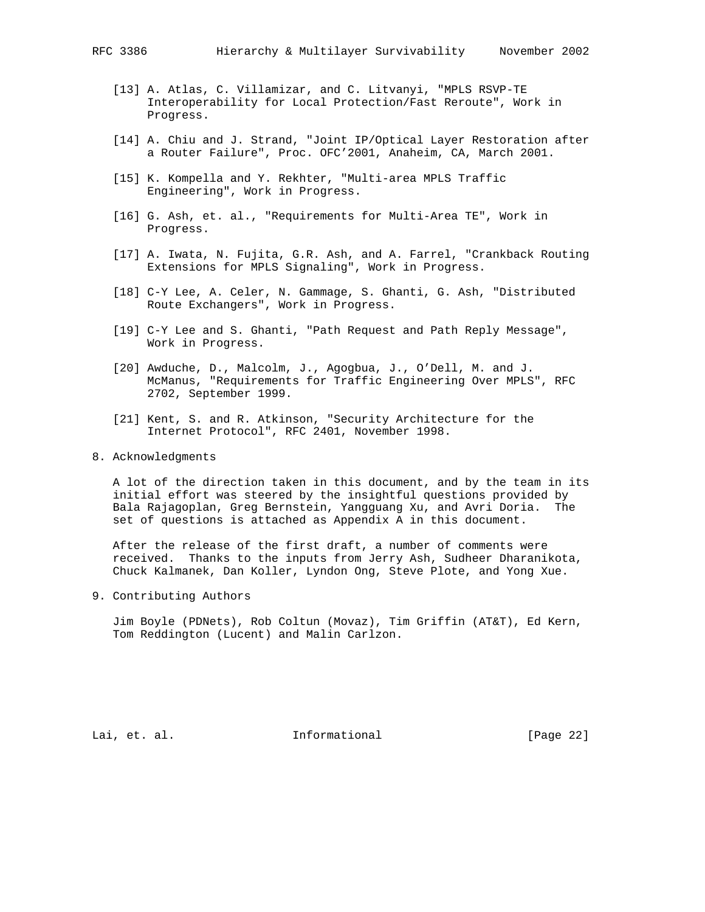- [13] A. Atlas, C. Villamizar, and C. Litvanyi, "MPLS RSVP-TE Interoperability for Local Protection/Fast Reroute", Work in Progress.
- [14] A. Chiu and J. Strand, "Joint IP/Optical Layer Restoration after a Router Failure", Proc. OFC'2001, Anaheim, CA, March 2001.
- [15] K. Kompella and Y. Rekhter, "Multi-area MPLS Traffic Engineering", Work in Progress.
- [16] G. Ash, et. al., "Requirements for Multi-Area TE", Work in Progress.
- [17] A. Iwata, N. Fujita, G.R. Ash, and A. Farrel, "Crankback Routing Extensions for MPLS Signaling", Work in Progress.
- [18] C-Y Lee, A. Celer, N. Gammage, S. Ghanti, G. Ash, "Distributed Route Exchangers", Work in Progress.
- [19] C-Y Lee and S. Ghanti, "Path Request and Path Reply Message", Work in Progress.
- [20] Awduche, D., Malcolm, J., Agogbua, J., O'Dell, M. and J. McManus, "Requirements for Traffic Engineering Over MPLS", RFC 2702, September 1999.
- [21] Kent, S. and R. Atkinson, "Security Architecture for the Internet Protocol", RFC 2401, November 1998.
- 8. Acknowledgments

 A lot of the direction taken in this document, and by the team in its initial effort was steered by the insightful questions provided by Bala Rajagoplan, Greg Bernstein, Yangguang Xu, and Avri Doria. The set of questions is attached as Appendix A in this document.

 After the release of the first draft, a number of comments were received. Thanks to the inputs from Jerry Ash, Sudheer Dharanikota, Chuck Kalmanek, Dan Koller, Lyndon Ong, Steve Plote, and Yong Xue.

9. Contributing Authors

 Jim Boyle (PDNets), Rob Coltun (Movaz), Tim Griffin (AT&T), Ed Kern, Tom Reddington (Lucent) and Malin Carlzon.

Lai, et. al. 10. Informational 1. [Page 22]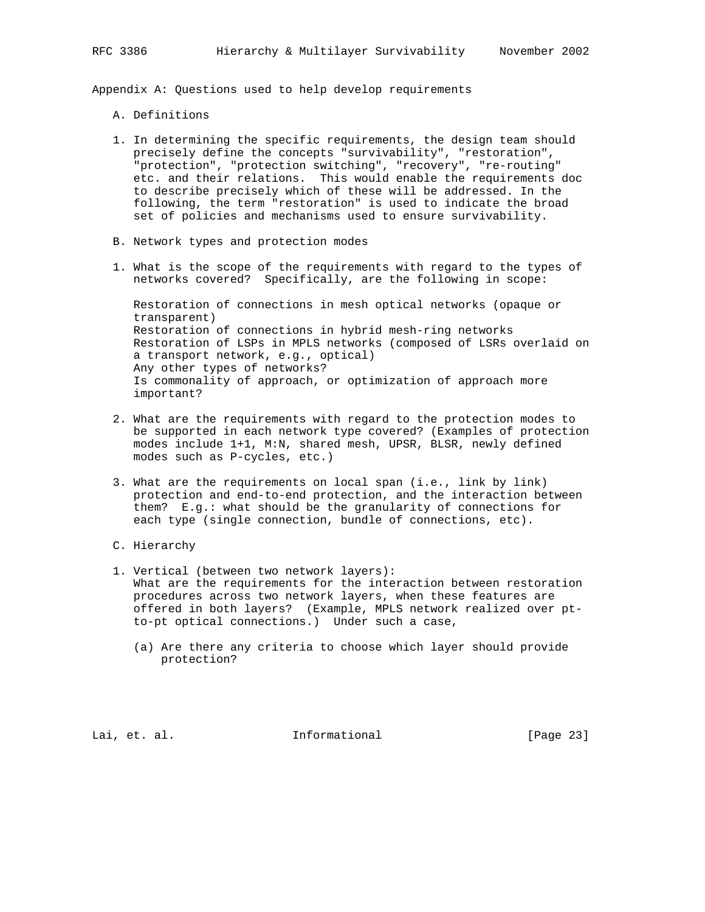Appendix A: Questions used to help develop requirements

- A. Definitions
- 1. In determining the specific requirements, the design team should precisely define the concepts "survivability", "restoration", "protection", "protection switching", "recovery", "re-routing" etc. and their relations. This would enable the requirements doc to describe precisely which of these will be addressed. In the following, the term "restoration" is used to indicate the broad set of policies and mechanisms used to ensure survivability.
- B. Network types and protection modes
- 1. What is the scope of the requirements with regard to the types of networks covered? Specifically, are the following in scope:

 Restoration of connections in mesh optical networks (opaque or transparent) Restoration of connections in hybrid mesh-ring networks Restoration of LSPs in MPLS networks (composed of LSRs overlaid on a transport network, e.g., optical) Any other types of networks? Is commonality of approach, or optimization of approach more important?

- 2. What are the requirements with regard to the protection modes to be supported in each network type covered? (Examples of protection modes include 1+1, M:N, shared mesh, UPSR, BLSR, newly defined modes such as P-cycles, etc.)
- 3. What are the requirements on local span (i.e., link by link) protection and end-to-end protection, and the interaction between them? E.g.: what should be the granularity of connections for each type (single connection, bundle of connections, etc).
- C. Hierarchy
- 1. Vertical (between two network layers): What are the requirements for the interaction between restoration procedures across two network layers, when these features are offered in both layers? (Example, MPLS network realized over pt to-pt optical connections.) Under such a case,
	- (a) Are there any criteria to choose which layer should provide protection?

Lai, et. al. 10. Informational 1. [Page 23]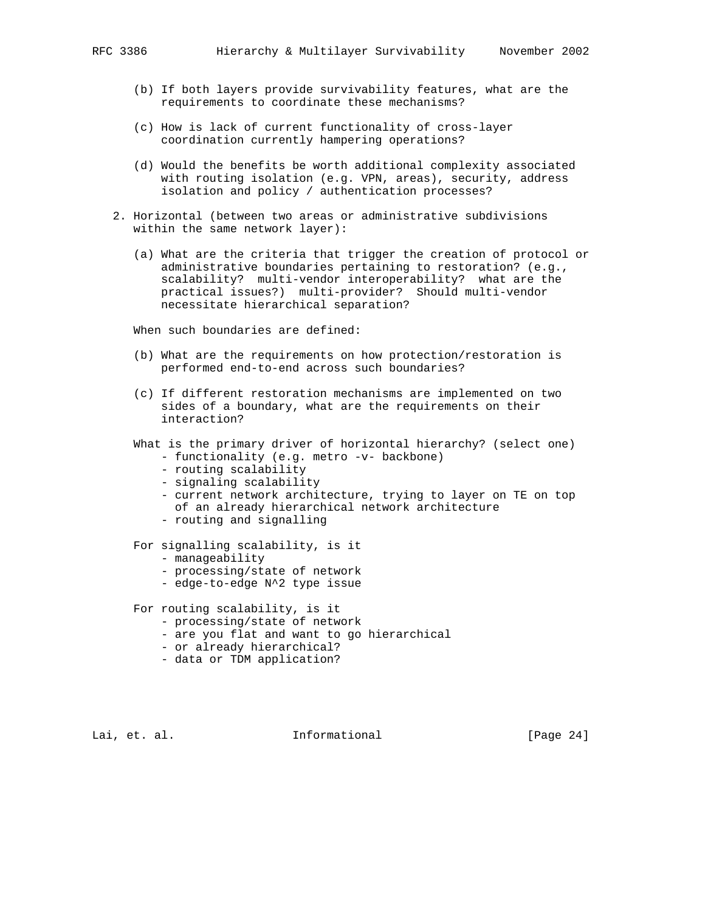- (b) If both layers provide survivability features, what are the requirements to coordinate these mechanisms?
- (c) How is lack of current functionality of cross-layer coordination currently hampering operations?
- (d) Would the benefits be worth additional complexity associated with routing isolation (e.g. VPN, areas), security, address isolation and policy / authentication processes?
- 2. Horizontal (between two areas or administrative subdivisions within the same network layer):
	- (a) What are the criteria that trigger the creation of protocol or administrative boundaries pertaining to restoration? (e.g., scalability? multi-vendor interoperability? what are the practical issues?) multi-provider? Should multi-vendor necessitate hierarchical separation?

When such boundaries are defined:

- (b) What are the requirements on how protection/restoration is performed end-to-end across such boundaries?
- (c) If different restoration mechanisms are implemented on two sides of a boundary, what are the requirements on their interaction?
- What is the primary driver of horizontal hierarchy? (select one) - functionality (e.g. metro -v- backbone)
	- routing scalability
	- signaling scalability
	- current network architecture, trying to layer on TE on top of an already hierarchical network architecture
	- routing and signalling

For signalling scalability, is it

- manageability
- processing/state of network
- edge-to-edge N^2 type issue

For routing scalability, is it

- processing/state of network
- are you flat and want to go hierarchical
- or already hierarchical?
- data or TDM application?

Lai, et. al. **Informational** [Page 24]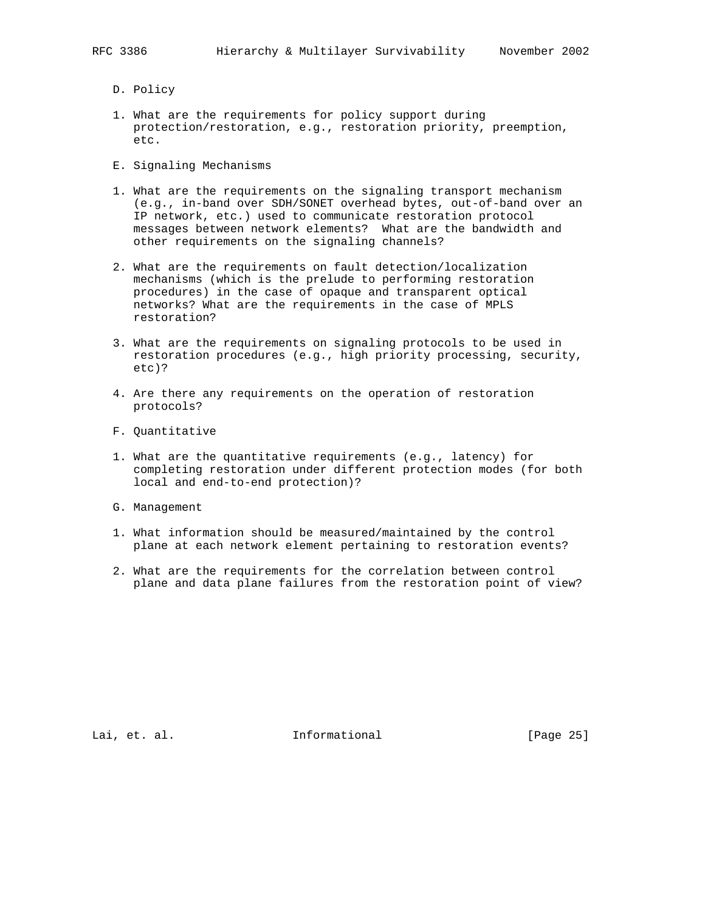- D. Policy
- 1. What are the requirements for policy support during protection/restoration, e.g., restoration priority, preemption, etc.
- E. Signaling Mechanisms
- 1. What are the requirements on the signaling transport mechanism (e.g., in-band over SDH/SONET overhead bytes, out-of-band over an IP network, etc.) used to communicate restoration protocol messages between network elements? What are the bandwidth and other requirements on the signaling channels?
- 2. What are the requirements on fault detection/localization mechanisms (which is the prelude to performing restoration procedures) in the case of opaque and transparent optical networks? What are the requirements in the case of MPLS restoration?
- 3. What are the requirements on signaling protocols to be used in restoration procedures (e.g., high priority processing, security, etc)?
- 4. Are there any requirements on the operation of restoration protocols?
- F. Quantitative
- 1. What are the quantitative requirements (e.g., latency) for completing restoration under different protection modes (for both local and end-to-end protection)?
- G. Management
- 1. What information should be measured/maintained by the control plane at each network element pertaining to restoration events?
- 2. What are the requirements for the correlation between control plane and data plane failures from the restoration point of view?

Lai, et. al. Informational [Page 25]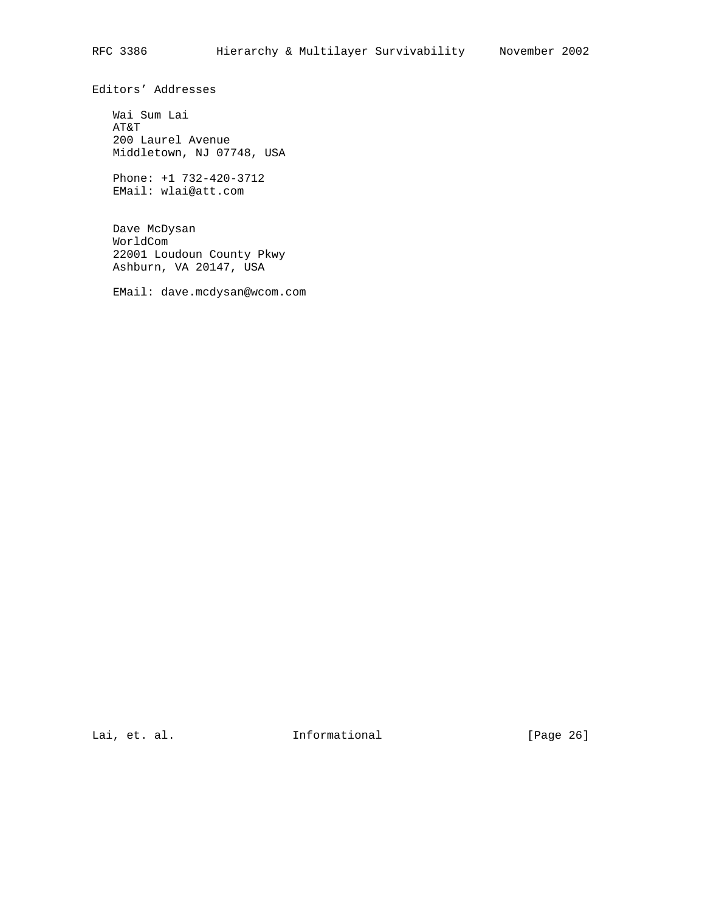Editors' Addresses

 Wai Sum Lai AT&T 200 Laurel Avenue Middletown, NJ 07748, USA

 Phone: +1 732-420-3712 EMail: wlai@att.com

 Dave McDysan WorldCom 22001 Loudoun County Pkwy Ashburn, VA 20147, USA

EMail: dave.mcdysan@wcom.com

Lai, et. al. 10. Informational 1. [Page 26]